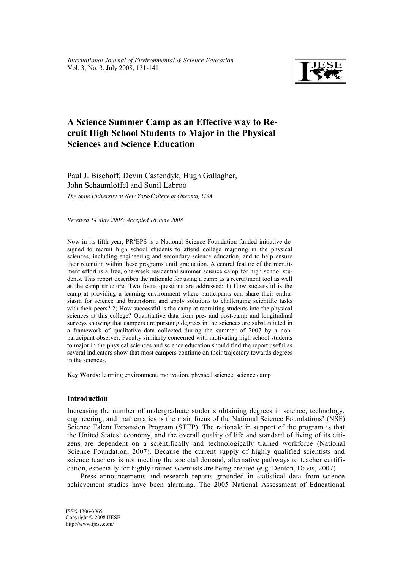

# **A Science Summer Camp as an Effective way to Recruit High School Students to Major in the Physical Sciences and Science Education**

Paul J. Bischoff, Devin Castendyk, Hugh Gallagher, John Schaumloffel and Sunil Labroo

*The State University of New York-College at Oneonta, USA*

*Received 14 May 2008; Accepted 16 June 2008* 

Now in its fifth year, PR<sup>2</sup>EPS is a National Science Foundation funded initiative designed to recruit high school students to attend college majoring in the physical sciences, including engineering and secondary science education, and to help ensure their retention within these programs until graduation. A central feature of the recruitment effort is a free, one-week residential summer science camp for high school students. This report describes the rationale for using a camp as a recruitment tool as well as the camp structure. Two focus questions are addressed: 1) How successful is the camp at providing a learning environment where participants can share their enthusiasm for science and brainstorm and apply solutions to challenging scientific tasks with their peers? 2) How successful is the camp at recruiting students into the physical sciences at this college? Quantitative data from pre- and post-camp and longitudinal surveys showing that campers are pursuing degrees in the sciences are substantiated in a framework of qualitative data collected during the summer of 2007 by a nonparticipant observer. Faculty similarly concerned with motivating high school students to major in the physical sciences and science education should find the report useful as several indicators show that most campers continue on their trajectory towards degrees in the sciences.

**Key Words**: learning environment, motivation, physical science, science camp

#### **Introduction**

Increasing the number of undergraduate students obtaining degrees in science, technology, engineering, and mathematics is the main focus of the National Science Foundations' (NSF) Science Talent Expansion Program (STEP). The rationale in support of the program is that the United States' economy, and the overall quality of life and standard of living of its citizens are dependent on a scientifically and technologically trained workforce (National Science Foundation, 2007). Because the current supply of highly qualified scientists and science teachers is not meeting the societal demand, alternative pathways to teacher certification, especially for highly trained scientists are being created (e.g. Denton, Davis, 2007).

Press announcements and research reports grounded in statistical data from science achievement studies have been alarming. The 2005 National Assessment of Educational

ISSN 1306-3065 Copyright © 2008 IJESE <http://www.ijese.com/>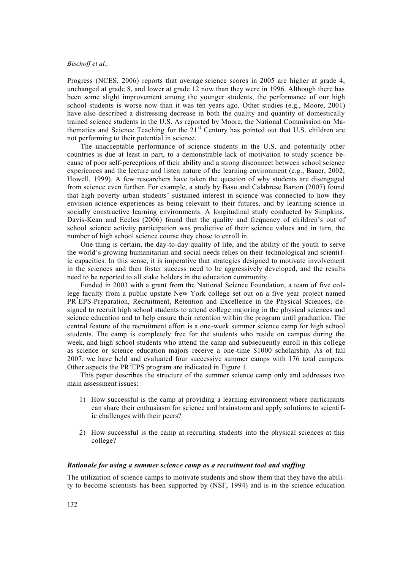Progress (NCES, 2006) reports that average science scores in 2005 are higher at grade 4, unchanged at grade 8, and lower at grade 12 now than they were in 1996. Although there has been some slight improvement among the younger students, the performance of our high school students is worse now than it was ten years ago. Other studies (e.g., Moore, 2001) have also described a distressing decrease in both the quality and quantity of domestically trained science students in the U.S. As reported by Moore, the National Commission on Mathematics and Science Teaching for the  $21<sup>st</sup>$  Century has pointed out that U.S. children are not performing to their potential in science.

The unacceptable performance of science students in the U.S. and potentially other countries is due at least in part, to a demonstrable lack of motivation to study science because of poor self-perceptions of their ability and a strong disconnect between school science experiences and the lecture and listen nature of the learning environment (e.g., Bauer, 2002; Howell, 1999). A few researchers have taken the question of why students are disengaged from science even further. For example, a study by Basu and Calabrese Barton (2007) found that high poverty urban students' sustained interest in science was connected to how they envision science experiences as being relevant to their futures, and by learning science in socially constructive learning environments. A longitudinal study conducted by Simpkins, Davis-Kean and Eccles (2006) found that the quality and frequency of children's out of school science activity participation was predictive of their science values and in turn, the number of high school science course they chose to enroll in.

One thing is certain, the day-to-day quality of life, and the ability of the youth to serve the world's growing humanitarian and social needs relies on their technological and scientific capacities. In this sense, it is imperative that strategies designed to motivate involvement in the sciences and then foster success need to be aggressively developed, and the results need to be reported to all stake holders in the education community.

Funded in 2003 with a grant from the National Science Foundation, a team of five college faculty from a public upstate New York college set out on a five year project named PR<sup>2</sup>EPS-Preparation, Recruitment, Retention and Excellence in the Physical Sciences, designed to recruit high school students to attend college majoring in the physical sciences and science education and to help ensure their retention within the program until graduation. The central feature of the recruitment effort is a one-week summer science camp for high school students. The camp is completely free for the students who reside on campus during the week, and high school students who attend the camp and subsequently enroll in this college as science or science education majors receive a one-time \$1000 scholarship. As of fall 2007, we have held and evaluated four successive summer camps with 176 total campers. Other aspects the  $PR<sup>2</sup>EPS$  program are indicated in Figure 1.

This paper describes the structure of the summer science camp only and addresses two main assessment issues:

- 1) How successful is the camp at providing a learning environment where participants can share their enthusiasm for science and brainstorm and apply solutions to scientific challenges with their peers?
- 2) How successful is the camp at recruiting students into the physical sciences at this college?

### *Rationale for using a summer science camp as a recruitment tool and staffing*

The utilization of science camps to motivate students and show them that they have the ability to become scientists has been supported by (NSF, 1994) and is in the science education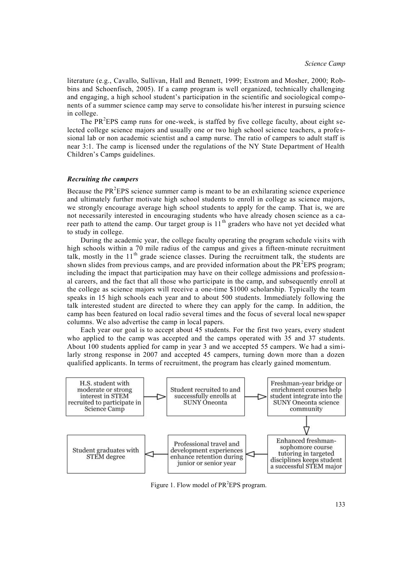literature (e.g., Cavallo, Sullivan, Hall and Bennett, 1999; Exstrom and Mosher, 2000; Robbins and Schoenfisch, 2005). If a camp program is well organized, technically challenging and engaging, a high school student's participation in the scientific and sociological components of a summer science camp may serve to consolidate his/her interest in pursuing science in college.

The PR<sup>2</sup>EPS camp runs for one-week, is staffed by five college faculty, about eight selected college science majors and usually one or two high school science teachers, a professional lab or non academic scientist and a camp nurse. The ratio of campers to adult staff is near 3:1. The camp is licensed under the regulations of the NY State Department of Health Children's Camps guidelines.

### *Recruiting the campers*

Because the  $PR<sup>2</sup>EPS$  science summer camp is meant to be an exhilarating science experience and ultimately further motivate high school students to enroll in college as science majors, we strongly encourage average high school students to apply for the camp. That is, we are not necessarily interested in encouraging students who have already chosen science as a career path to attend the camp. Our target group is  $11<sup>th</sup>$  graders who have not yet decided what to study in college.

During the academic year, the college faculty operating the program schedule visits with high schools within a 70 mile radius of the campus and gives a fifteen-minute recruitment talk. mostly in the  $11<sup>th</sup>$  grade science classes. During the recruitment talk, the students are shown slides from previous camps, and are provided information about the  $PR<sup>2</sup>EPS$  program; including the impact that participation may have on their college admissions and professional careers, and the fact that all those who participate in the camp, and subsequently enroll at the college as science majors will receive a one-time \$1000 scholarship. Typically the team speaks in 15 high schools each year and to about 500 students. Immediately following the talk interested student are directed to where they can apply for the camp. In addition, the camp has been featured on local radio several times and the focus of several local newspaper columns. We also advertise the camp in local papers.

Each year our goal is to accept about 45 students. For the first two years, every student who applied to the camp was accepted and the camps operated with 35 and 37 students. About 100 students applied for camp in year 3 and we accepted 55 campers. We had a similarly strong response in 2007 and accepted 45 campers, turning down more than a dozen qualified applicants. In terms of recruitment, the program has clearly gained momentum.



Figure 1. Flow model of PR<sup>2</sup>EPS program.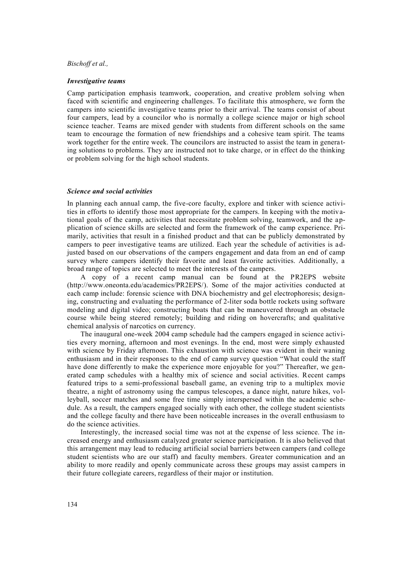#### *Investigative teams*

Camp participation emphasis teamwork, cooperation, and creative problem solving when faced with scientific and engineering challenges. To facilitate this atmosphere, we form the campers into scientific investigative teams prior to their arrival. The teams consist of about four campers, lead by a councilor who is normally a college science major or high school science teacher. Teams are mixed gender with students from different schools on the same team to encourage the formation of new friendships and a cohesive team spirit. The teams work together for the entire week. The councilors are instructed to assist the team in generating solutions to problems. They are instructed not to take charge, or in effect do the thinking or problem solving for the high school students.

### *Science and social activities*

In planning each annual camp, the five-core faculty, explore and tinker with science activities in efforts to identify those most appropriate for the campers. In keeping with the motivational goals of the camp, activities that necessitate problem solving, teamwork, and the application of science skills are selected and form the framework of the camp experience. Primarily, activities that result in a finished product and that can be publicly demonstrated by campers to peer investigative teams are utilized. Each year the schedule of activities is adjusted based on our observations of the campers engagement and data from an end of camp survey where campers identify their favorite and least favorite activities. Additionally, a broad range of topics are selected to meet the interests of the campers.

A copy of a recent camp manual can be found at the PR2EPS website (http://www.oneonta.edu/academics/PR2EPS/). Some of the major activities conducted at each camp include: forensic science with DNA biochemistry and gel electrophoresis; designing, constructing and evaluating the performance of 2-liter soda bottle rockets using software modeling and digital video; constructing boats that can be maneuvered through an obstacle course while being steered remotely; building and riding on hovercrafts; and qualitative chemical analysis of narcotics on currency.

The inaugural one-week 2004 camp schedule had the campers engaged in science activities every morning, afternoon and most evenings. In the end, most were simply exhausted with science by Friday afternoon. This exhaustion with science was evident in their waning enthusiasm and in their responses to the end of camp survey question "What could the staff have done differently to make the experience more enjoyable for you?" Thereafter, we generated camp schedules with a healthy mix of science and social activities. Recent camps featured trips to a semi-professional baseball game, an evening trip to a multiplex movie theatre, a night of astronomy using the campus telescopes, a dance night, nature hikes, volleyball, soccer matches and some free time simply interspersed within the academic schedule. As a result, the campers engaged socially with each other, the college student scientists and the college faculty and there have been noticeable increases in the overall enthusiasm to do the science activities.

Interestingly, the increased social time was not at the expense of less science. The increased energy and enthusiasm catalyzed greater science participation. It is also believed that this arrangement may lead to reducing artificial social barriers between campers (and college student scientists who are our staff) and faculty members. Greater communication and an ability to more readily and openly communicate across these groups may assist campers in their future collegiate careers, regardless of their major or institution.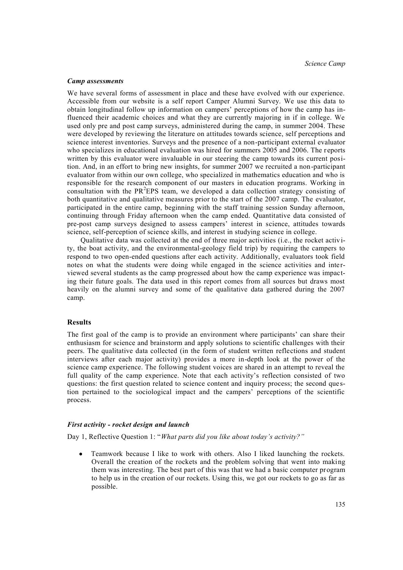#### *Camp assessments*

We have several forms of assessment in place and these have evolved with our experience. Accessible from our website is a self report Camper Alumni Survey. We use this data to obtain longitudinal follow up information on campers' perceptions of how the camp has influenced their academic choices and what they are currently majoring in if in college. We used only pre and post camp surveys, administered during the camp, in summer 2004. These were developed by reviewing the literature on attitudes towards science, self perceptions and science interest inventories. Surveys and the presence of a non-participant external evaluator who specializes in educational evaluation was hired for summers 2005 and 2006. The reports written by this evaluator were invaluable in our steering the camp towards its current position. And, in an effort to bring new insights, for summer 2007 we recruited a non-participant evaluator from within our own college, who specialized in mathematics education and who is responsible for the research component of our masters in education programs. Working in consultation with the PR<sup>2</sup>EPS team, we developed a data collection strategy consisting of both quantitative and qualitative measures prior to the start of the 2007 camp. The evaluator, participated in the entire camp, beginning with the staff training session Sunday afternoon, continuing through Friday afternoon when the camp ended. Quantitative data consisted of pre-post camp surveys designed to assess campers' interest in science, attitudes towards science, self-perception of science skills, and interest in studying science in college.

Qualitative data was collected at the end of three major activities (i.e., the rocket activity, the boat activity, and the environmental-geology field trip) by requiring the campers to respond to two open-ended questions after each activity. Additionally, evaluators took field notes on what the students were doing while engaged in the science activities and interviewed several students as the camp progressed about how the camp experience was impacting their future goals. The data used in this report comes from all sources but draws most heavily on the alumni survey and some of the qualitative data gathered during the 2007 camp.

# **Results**

The first goal of the camp is to provide an environment where participants' can share their enthusiasm for science and brainstorm and apply solutions to scientific challenges with their peers. The qualitative data collected (in the form of student written reflections and student interviews after each major activity) provides a more in-depth look at the power of the science camp experience. The following student voices are shared in an attempt to reveal the full quality of the camp experience. Note that each activity's reflection consisted of two questions: the first question related to science content and inquiry process; the second question pertained to the sociological impact and the campers' perceptions of the scientific process.

#### *First activity - rocket design and launch*

Day 1, Reflective Question 1: "*What parts did you like about today's activity?"*

Teamwork because I like to work with others. Also I liked launching the rockets. Overall the creation of the rockets and the problem solving that went into making them was interesting. The best part of this was that we had a basic computer program to help us in the creation of our rockets. Using this, we got our rockets to go as far as possible.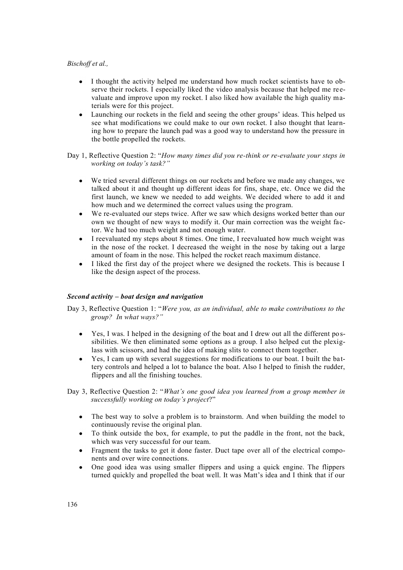- I thought the activity helped me understand how much rocket scientists have to observe their rockets. I especially liked the video analysis because that helped me re evaluate and improve upon my rocket. I also liked how available the high quality materials were for this project.
- Launching our rockets in the field and seeing the other groups' ideas. This helped us see what modifications we could make to our own rocket. I also thought that learning how to prepare the launch pad was a good way to understand how the pressure in the bottle propelled the rockets.

Day 1, Reflective Question 2: "*How many times did you re-think or re-evaluate your steps in working on today's task?"*

- $\bullet$ We tried several different things on our rockets and before we made any changes, we talked about it and thought up different ideas for fins, shape, etc. Once we did the first launch, we knew we needed to add weights. We decided where to add it and how much and we determined the correct values using the program.
- We re-evaluated our steps twice. After we saw which designs worked better than our  $\bullet$ own we thought of new ways to modify it. Our main correction was the weight factor. We had too much weight and not enough water.
- I reevaluated my steps about 8 times. One time, I reevaluated how much weight was in the nose of the rocket. I decreased the weight in the nose by taking out a large amount of foam in the nose. This helped the rocket reach maximum distance.
- I liked the first day of the project where we designed the rockets. This is because I like the design aspect of the process.

### *Second activity – boat design and navigation*

Day 3, Reflective Question 1: "*Were you, as an individual, able to make contributions to the group? In what ways?"*

- Yes, I was. I helped in the designing of the boat and I drew out all the different pos- $\bullet$ sibilities. We then eliminated some options as a group. I also helped cut the plexiglass with scissors, and had the idea of making slits to connect them together.
- Yes, I cam up with several suggestions for modifications to our boat. I built the ba ttery controls and helped a lot to balance the boat. Also I helped to finish the rudder, flippers and all the finishing touches.
- Day 3, Reflective Question 2: "*What's one good idea you learned from a group member in successfully working on today's project*?"
	- The best way to solve a problem is to brainstorm. And when building the model to  $\bullet$ continuously revise the original plan.
	- To think outside the box, for example, to put the paddle in the front, not the back, which was very successful for our team.
	- Fragment the tasks to get it done faster. Duct tape over all of the electrical components and over wire connections.
	- One good idea was using smaller flippers and using a quick engine. The flippers turned quickly and propelled the boat well. It was Matt's idea and I think that if our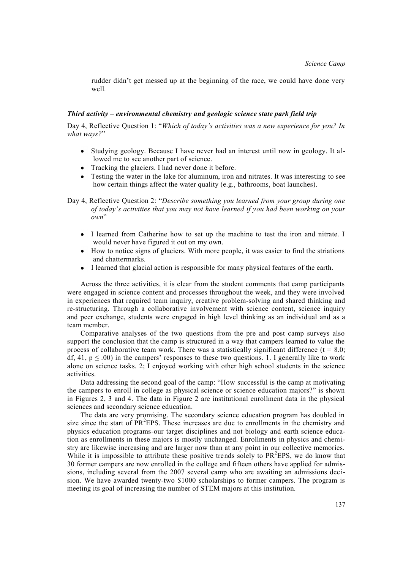rudder didn't get messed up at the beginning of the race, we could have done very well*.*

#### *Third activity – environmental chemistry and geologic science state park field trip*

Day 4, Reflective Question 1: "*Which of today's activities was a new experience for you? In what ways?*"

- Studying geology. Because I have never had an interest until now in geology. It al- $\bullet$ lowed me to see another part of science.
- Tracking the glaciers. I had never done it before.
- Testing the water in the lake for aluminum, iron and nitrates. It was interesting to see how certain things affect the water quality (e.g., bathrooms, boat launches).
- Day 4, Reflective Question 2: "*Describe something you learned from your group during one of today's activities that you may not have learned if you had been working on your own*"
	- I learned from Catherine how to set up the machine to test the iron and nitrate. I would never have figured it out on my own.
	- How to notice signs of glaciers. With more people, it was easier to find the striations and chattermarks.
	- I learned that glacial action is responsible for many physical features of the earth*.*

Across the three activities, it is clear from the student comments that camp participants were engaged in science content and processes throughout the week, and they were involved in experiences that required team inquiry, creative problem-solving and shared thinking and re-structuring. Through a collaborative involvement with science content, science inquiry and peer exchange, students were engaged in high level thinking as an individual and as a team member.

Comparative analyses of the two questions from the pre and post camp surveys also support the conclusion that the camp is structured in a way that campers learned to value the process of collaborative team work. There was a statistically significant difference ( $t = 8.0$ ; df, 41,  $p \leq .00$ ) in the campers' responses to these two questions. 1. I generally like to work alone on science tasks. 2; I enjoyed working with other high school students in the science activities.

Data addressing the second goal of the camp: "How successful is the camp at motivating the campers to enroll in college as physical science or science education majors?" is shown in Figures 2, 3 and 4. The data in Figure 2 are institutional enrollment data in the physical sciences and secondary science education.

The data are very promising. The secondary science education program has doubled in size since the start of  $PR<sup>2</sup>EPS$ . These increases are due to enrollments in the chemistry and physics education programs-our target disciplines and not biology and earth science education as enrollments in these majors is mostly unchanged. Enrollments in physics and chemistry are likewise increasing and are larger now than at any point in our collective memories. While it is impossible to attribute these positive trends solely to  $PR<sup>2</sup>EPS$ , we do know that 30 former campers are now enrolled in the college and fifteen others have applied for admissions, including several from the 2007 several camp who are awaiting an admissions dec ision. We have awarded twenty-two \$1000 scholarships to former campers. The program is meeting its goal of increasing the number of STEM majors at this institution.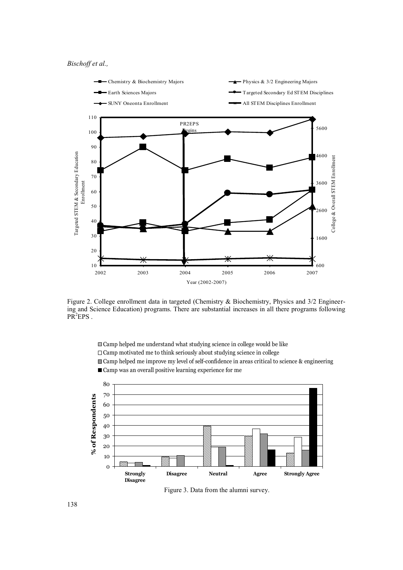

Figure 2. College enrollment data in targeted (Chemistry & Biochemistry, Physics and 3/2 Engineer-Figure 2. College enforment data in targeted (Chemistry & Biochemistry, Physics and 3/2 Engineer-<br>ing and Science Education) programs. There are substantial increases in all there programs following  $PR<sup>2</sup>EPS$ . ing and Science Education) programs. There are substantial increases in all there programs  $\text{PD}^2E\text{DC}$ 

Camp helped me understand what studying science in college would be like

 $\Box$  Camp motivated me to think seriously about studying science in college

 $\Box$  Camp helped me improve my level of self-confidence in areas critical to science & engineering  $\Box$ 

 $\blacksquare$  Camp was an overall positive learning experience for me  $\frac{1}{20}$  or the camp alumni responded. We achieve this response rate by sending responded. We achieve rate by sending re-80



Figure 3. Data from the alumni survey.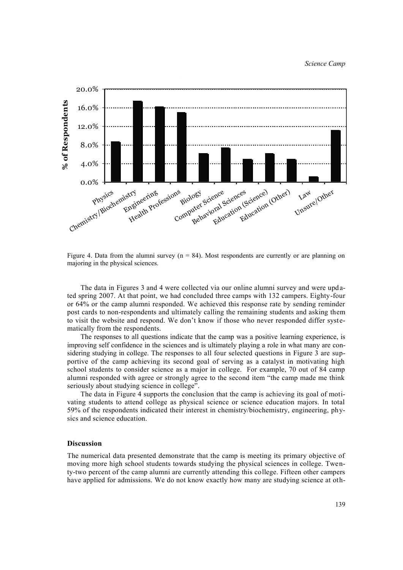*Science Camp*



Figure 4. Data from the alumni survey ( $n = 84$ ). Most respondents are currently or are planning on majoring in the physical sciences.

The data in Figures 3 and 4 were collected via our online alumni survey and were updated spring 2007. At that point, we had concluded three camps with 132 campers. Eighty-four or 64% or the camp alumni responded. We achieved this response rate by sending reminder post cards to non-respondents and ultimately calling the remaining students and asking them to visit the website and respond. We don't know if those who never responded differ systematically from the respondents.

The responses to all questions indicate that the camp was a positive learning experience, is improving self confidence in the sciences and is ultimately playing a role in what many are considering studying in college. The responses to all four selected questions in Figure 3 are supportive of the camp achieving its second goal of serving as a catalyst in motivating high school students to consider science as a major in college. For example, 70 out of 84 camp alumni responded with agree or strongly agree to the second item "the camp made me think seriously about studying science in college".

The data in Figure 4 supports the conclusion that the camp is achieving its goal of motivating students to attend college as physical science or science education majors. In total 59% of the respondents indicated their interest in chemistry/biochemistry, engineering, physics and science education.

### **Discussion**

The numerical data presented demonstrate that the camp is meeting its primary objective of moving more high school students towards studying the physical sciences in college. Twenty-two percent of the camp alumni are currently attending this college. Fifteen other campers have applied for admissions. We do not know exactly how many are studying science at oth-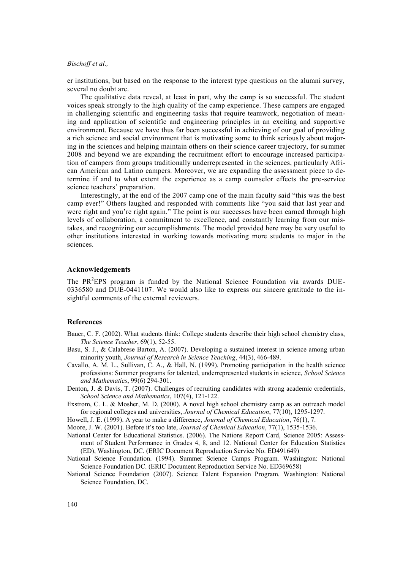er institutions, but based on the response to the interest type questions on the alumni survey, several no doubt are.

The qualitative data reveal, at least in part, why the camp is so successful. The student voices speak strongly to the high quality of the camp experience. These campers are engaged in challenging scientific and engineering tasks that require teamwork, negotiation of meaning and application of scientific and engineering principles in an exciting and supportive environment. Because we have thus far been successful in achieving of our goal of providing a rich science and social environment that is motivating some to think seriously about majoring in the sciences and helping maintain others on their science career trajectory, for summer 2008 and beyond we are expanding the recruitment effort to encourage increased participation of campers from groups traditionally underrepresented in the sciences, particularly African American and Latino campers. Moreover, we are expanding the assessment piece to determine if and to what extent the experience as a camp counselor effects the pre-service science teachers' preparation.

Interestingly, at the end of the 2007 camp one of the main faculty said "this was the best camp ever!" Others laughed and responded with comments like "you said that last year and were right and you're right again." The point is our successes have been earned through high levels of collaboration, a commitment to excellence, and constantly learning from our mistakes, and recognizing our accomplishments. The model provided here may be very useful to other institutions interested in working towards motivating more students to major in the sciences.

#### **Acknowledgements**

The  $PR<sup>2</sup>EPS$  program is funded by the National Science Foundation via awards DUE-0336580 and DUE-0441107. We would also like to express our sincere gratitude to the insightful comments of the external reviewers.

### **References**

- Bauer, C. F. (2002). What students think: College students describe their high school chemistry class, *The Science Teacher*, 69(1), 52-55.
- Basu, S. J., & Calabrese Barton, A. (2007). Developing a sustained interest in science among urban minority youth, *Journal of Research in Science Teaching*, 44(3), 466-489.
- Cavallo, A. M. L., Sullivan, C. A., & Hall, N. (1999). Promoting participation in the health science professions: Summer programs for talented, underrepresented students in science, *School Science and Mathematics*, 99(6) 294-301.
- Denton, J. & Davis, T. (2007). Challenges of recruiting candidates with strong academic credentials, *[School Science and Mathematics](javascript:__doLinkPostBack()*, 107(4), 121-122.
- Exstrom, C. L. & Mosher, M. D. (2000). A novel high school chemistry camp as an outreach model for regional colleges and universities, *Journal of Chemical Education*, 77(10), 1295-1297.

Howell, J. E. (1999). A year to make a difference, *Journal of Chemical Education*, 76(1), 7.

Moore, J. W. (2001). Before it's too late, *Journal of Chemical Education*, 77(1), 1535-1536.

- National Center for Educational Statistics. (2006). The Nations Report Card, Science 2005: Assessment of Student Performance in Grades 4, 8, and 12. National Center for Education Statistics (ED), Washington, DC. (ERIC Document Reproduction Service No. ED491649)
- National Science Foundation. (1994). Summer Science Camps Program. Washington: National Science Foundation DC. (ERIC Document Reproduction Service No. ED369658)
- National Science Foundation (2007). Science Talent Expansion Program. Washington: National Science Foundation, DC.